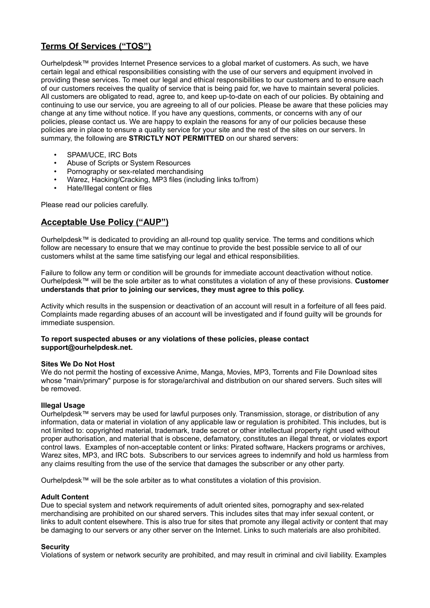# **Terms Of Services ("TOS")**

Ourhelpdesk™ provides Internet Presence services to a global market of customers. As such, we have certain legal and ethical responsibilities consisting with the use of our servers and equipment involved in providing these services. To meet our legal and ethical responsibilities to our customers and to ensure each of our customers receives the quality of service that is being paid for, we have to maintain several policies. All customers are obligated to read, agree to, and keep up-to-date on each of our policies. By obtaining and continuing to use our service, you are agreeing to all of our policies. Please be aware that these policies may change at any time without notice. If you have any questions, comments, or concerns with any of our policies, please contact us. We are happy to explain the reasons for any of our policies because these policies are in place to ensure a quality service for your site and the rest of the sites on our servers. In summary, the following are **STRICTLY NOT PERMITTED** on our shared servers:

- SPAM/UCE, IRC Bots
- Abuse of Scripts or System Resources
- Pornography or sex-related merchandising
- Warez, Hacking/Cracking, MP3 files (including links to/from)
- Hate/Illegal content or files

Please read our policies carefully.

# **Acceptable Use Policy ("AUP")**

Ourhelpdesk™ is dedicated to providing an all-round top quality service. The terms and conditions which follow are necessary to ensure that we may continue to provide the best possible service to all of our customers whilst at the same time satisfying our legal and ethical responsibilities.

Failure to follow any term or condition will be grounds for immediate account deactivation without notice. Ourhelpdesk™ will be the sole arbiter as to what constitutes a violation of any of these provisions. **Customer understands that prior to joining our services, they must agree to this policy.**

Activity which results in the suspension or deactivation of an account will result in a forfeiture of all fees paid. Complaints made regarding abuses of an account will be investigated and if found guilty will be grounds for immediate suspension.

# **To report suspected abuses or any violations of these policies, please contact support@ourhelpdesk.net.**

#### **Sites We Do Not Host**

We do not permit the hosting of excessive Anime, Manga, Movies, MP3, Torrents and File Download sites whose "main/primary" purpose is for storage/archival and distribution on our shared servers. Such sites will be removed.

# **Illegal Usage**

Ourhelpdesk™ servers may be used for lawful purposes only. Transmission, storage, or distribution of any information, data or material in violation of any applicable law or regulation is prohibited. This includes, but is not limited to: copyrighted material, trademark, trade secret or other intellectual property right used without proper authorisation, and material that is obscene, defamatory, constitutes an illegal threat, or violates export control laws. Examples of non-acceptable content or links: Pirated software, Hackers programs or archives, Warez sites, MP3, and IRC bots. Subscribers to our services agrees to indemnify and hold us harmless from any claims resulting from the use of the service that damages the subscriber or any other party.

Ourhelpdesk™ will be the sole arbiter as to what constitutes a violation of this provision.

#### **Adult Content**

Due to special system and network requirements of adult oriented sites, pornography and sex-related merchandising are prohibited on our shared servers. This includes sites that may infer sexual content, or links to adult content elsewhere. This is also true for sites that promote any illegal activity or content that may be damaging to our servers or any other server on the Internet. Links to such materials are also prohibited.

#### **Security**

Violations of system or network security are prohibited, and may result in criminal and civil liability. Examples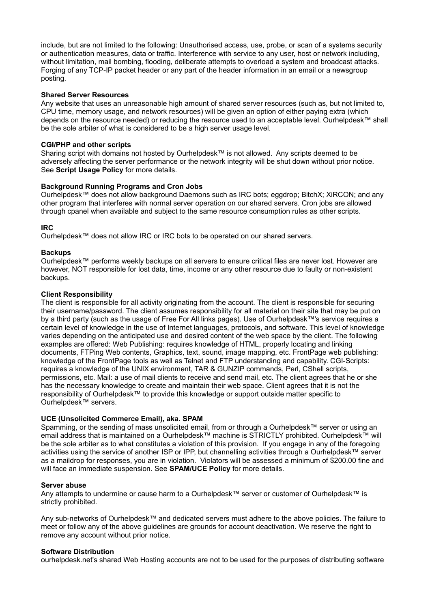include, but are not limited to the following: Unauthorised access, use, probe, or scan of a systems security or authentication measures, data or traffic. Interference with service to any user, host or network including, without limitation, mail bombing, flooding, deliberate attempts to overload a system and broadcast attacks. Forging of any TCP-IP packet header or any part of the header information in an email or a newsgroup posting.

# **Shared Server Resources**

Any website that uses an unreasonable high amount of shared server resources (such as, but not limited to, CPU time, memory usage, and network resources) will be given an option of either paying extra (which depends on the resource needed) or reducing the resource used to an acceptable level. Ourhelpdesk™ shall be the sole arbiter of what is considered to be a high server usage level.

### **CGI/PHP and other scripts**

Sharing script with domains not hosted by Ourhelpdesk™ is not allowed. Any scripts deemed to be adversely affecting the server performance or the network integrity will be shut down without prior notice. See **Script Usage Policy** for more details.

# **Background Running Programs and Cron Jobs**

Ourhelpdesk™ does not allow background Daemons such as IRC bots; eggdrop; BitchX; XiRCON; and any other program that interferes with normal server operation on our shared servers. Cron jobs are allowed through cpanel when available and subject to the same resource consumption rules as other scripts.

# **IRC**

Ourhelpdesk™ does not allow IRC or IRC bots to be operated on our shared servers.

# **Backups**

Ourhelpdesk™ performs weekly backups on all servers to ensure critical files are never lost. However are however, NOT responsible for lost data, time, income or any other resource due to faulty or non-existent backups.

# **Client Responsibility**

The client is responsible for all activity originating from the account. The client is responsible for securing their username/password. The client assumes responsibility for all material on their site that may be put on by a third party (such as the usage of Free For All links pages). Use of Ourhelpdesk™'s service requires a certain level of knowledge in the use of Internet languages, protocols, and software. This level of knowledge varies depending on the anticipated use and desired content of the web space by the client. The following examples are offered: Web Publishing: requires knowledge of HTML, properly locating and linking documents, FTPing Web contents, Graphics, text, sound, image mapping, etc. FrontPage web publishing: knowledge of the FrontPage tools as well as Telnet and FTP understanding and capability. CGI-Scripts: requires a knowledge of the UNIX environment, TAR & GUNZIP commands, Perl, CShell scripts, permissions, etc. Mail: a use of mail clients to receive and send mail, etc. The client agrees that he or she has the necessary knowledge to create and maintain their web space. Client agrees that it is not the responsibility of Ourhelpdesk™ to provide this knowledge or support outside matter specific to Ourhelpdesk™ servers.

# **UCE (Unsolicited Commerce Email), aka. SPAM**

Spamming, or the sending of mass unsolicited email, from or through a Ourhelpdesk™ server or using an email address that is maintained on a Ourhelpdesk™ machine is STRICTLY prohibited. Ourhelpdesk™ will be the sole arbiter as to what constitutes a violation of this provision. If you engage in any of the foregoing activities using the service of another ISP or IPP, but channelling activities through a Ourhelpdesk™ server as a maildrop for responses, you are in violation. Violators will be assessed a minimum of \$200.00 fine and will face an immediate suspension. See **SPAM/UCE Policy** for more details.

#### **Server abuse**

Any attempts to undermine or cause harm to a Ourhelpdesk™ server or customer of Ourhelpdesk™ is strictly prohibited.

Any sub-networks of Ourhelpdesk™ and dedicated servers must adhere to the above policies. The failure to meet or follow any of the above guidelines are grounds for account deactivation. We reserve the right to remove any account without prior notice.

#### **Software Distribution**

ourhelpdesk.net's shared Web Hosting accounts are not to be used for the purposes of distributing software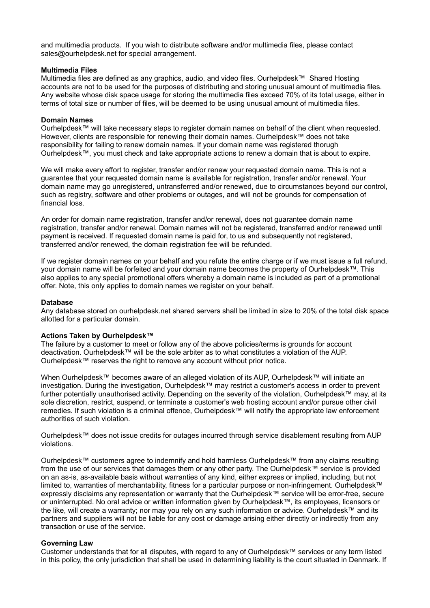and multimedia products. If you wish to distribute software and/or multimedia files, please contact sales@ourhelpdesk.net for special arrangement.

#### **Multimedia Files**

Multimedia files are defined as any graphics, audio, and video files. Ourhelpdesk™ Shared Hosting accounts are not to be used for the purposes of distributing and storing unusual amount of multimedia files. Any website whose disk space usage for storing the multimedia files exceed 70% of its total usage, either in terms of total size or number of files, will be deemed to be using unusual amount of multimedia files.

#### **Domain Names**

Ourhelpdesk™ will take necessary steps to register domain names on behalf of the client when requested. However, clients are responsible for renewing their domain names. Ourhelpdesk™ does not take responsibility for failing to renew domain names. If your domain name was registered thorugh Ourhelpdesk™, you must check and take appropriate actions to renew a domain that is about to expire.

We will make every effort to register, transfer and/or renew your requested domain name. This is not a guarantee that your requested domain name is available for registration, transfer and/or renewal. Your domain name may go unregistered, untransferred and/or renewed, due to circumstances beyond our control, such as registry, software and other problems or outages, and will not be grounds for compensation of financial loss.

An order for domain name registration, transfer and/or renewal, does not guarantee domain name registration, transfer and/or renewal. Domain names will not be registered, transferred and/or renewed until payment is received. If requested domain name is paid for, to us and subsequently not registered, transferred and/or renewed, the domain registration fee will be refunded.

If we register domain names on your behalf and you refute the entire charge or if we must issue a full refund, your domain name will be forfeited and your domain name becomes the property of Ourhelpdesk™. This also applies to any special promotional offers whereby a domain name is included as part of a promotional offer. Note, this only applies to domain names we register on your behalf.

#### **Database**

Any database stored on ourhelpdesk.net shared servers shall be limited in size to 20% of the total disk space allotted for a particular domain.

#### **Actions Taken by Ourhelpdesk™**

The failure by a customer to meet or follow any of the above policies/terms is grounds for account deactivation. Ourhelpdesk™ will be the sole arbiter as to what constitutes a violation of the AUP. Ourhelpdesk™ reserves the right to remove any account without prior notice.

When Ourhelpdesk™ becomes aware of an alleged violation of its AUP, Ourhelpdesk™ will initiate an investigation. During the investigation, Ourhelpdesk™ may restrict a customer's access in order to prevent further potentially unauthorised activity. Depending on the severity of the violation, Ourhelpdesk™ may, at its sole discretion, restrict, suspend, or terminate a customer's web hosting account and/or pursue other civil remedies. If such violation is a criminal offence, Ourhelpdesk™ will notify the appropriate law enforcement authorities of such violation.

Ourhelpdesk™ does not issue credits for outages incurred through service disablement resulting from AUP violations.

Ourhelpdesk™ customers agree to indemnify and hold harmless Ourhelpdesk™ from any claims resulting from the use of our services that damages them or any other party. The Ourhelpdesk™ service is provided on an as-is, as-available basis without warranties of any kind, either express or implied, including, but not limited to, warranties of merchantability, fitness for a particular purpose or non-infringement. Ourhelpdesk™ expressly disclaims any representation or warranty that the Ourhelpdesk™ service will be error-free, secure or uninterrupted. No oral advice or written information given by Ourhelpdesk™, its employees, licensors or the like, will create a warranty; nor may you rely on any such information or advice. Ourhelpdesk™ and its partners and suppliers will not be liable for any cost or damage arising either directly or indirectly from any transaction or use of the service.

#### **Governing Law**

Customer understands that for all disputes, with regard to any of Ourhelpdesk™ services or any term listed in this policy, the only jurisdiction that shall be used in determining liability is the court situated in Denmark. If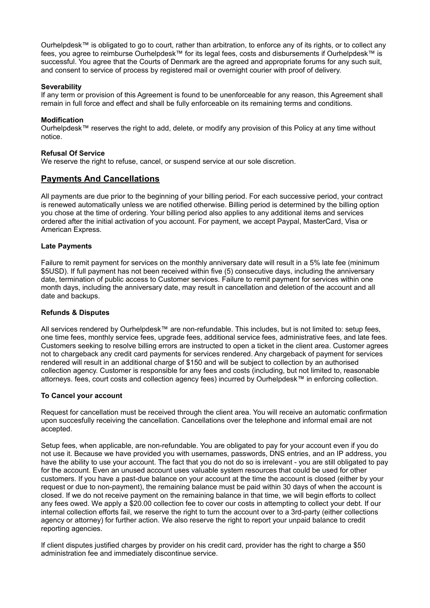Ourhelpdesk™ is obligated to go to court, rather than arbitration, to enforce any of its rights, or to collect any fees, you agree to reimburse Ourhelpdesk™ for its legal fees, costs and disbursements if Ourhelpdesk™ is successful. You agree that the Courts of Denmark are the agreed and appropriate forums for any such suit, and consent to service of process by registered mail or overnight courier with proof of delivery.

# **Severability**

If any term or provision of this Agreement is found to be unenforceable for any reason, this Agreement shall remain in full force and effect and shall be fully enforceable on its remaining terms and conditions.

# **Modification**

Ourhelpdesk™ reserves the right to add, delete, or modify any provision of this Policy at any time without notice.

# **Refusal Of Service**

We reserve the right to refuse, cancel, or suspend service at our sole discretion.

# **Payments And Cancellations**

All payments are due prior to the beginning of your billing period. For each successive period, your contract is renewed automatically unless we are notified otherwise. Billing period is determined by the billing option you chose at the time of ordering. Your billing period also applies to any additional items and services ordered after the initial activation of you account. For payment, we accept Paypal, MasterCard, Visa or American Express.

# **Late Payments**

Failure to remit payment for services on the monthly anniversary date will result in a 5% late fee (minimum \$5USD). If full payment has not been received within five (5) consecutive days, including the anniversary date, termination of public access to Customer services. Failure to remit payment for services within one month days, including the anniversary date, may result in cancellation and deletion of the account and all date and backups.

#### **Refunds & Disputes**

All services rendered by Ourhelpdesk™ are non-refundable. This includes, but is not limited to: setup fees, one time fees, monthly service fees, upgrade fees, additional service fees, administrative fees, and late fees. Customers seeking to resolve billing errors are instructed to open a ticket in the client area. Customer agrees not to chargeback any credit card payments for services rendered. Any chargeback of payment for services rendered will result in an additional charge of \$150 and will be subject to collection by an authorised collection agency. Customer is responsible for any fees and costs (including, but not limited to, reasonable attorneys. fees, court costs and collection agency fees) incurred by Ourhelpdesk™ in enforcing collection.

#### **To Cancel your account**

Request for cancellation must be received through the client area. You will receive an automatic confirmation upon succesfully receiving the cancellation. Cancellations over the telephone and informal email are not accepted.

Setup fees, when applicable, are non-refundable. You are obligated to pay for your account even if you do not use it. Because we have provided you with usernames, passwords, DNS entries, and an IP address, you have the ability to use your account. The fact that you do not do so is irrelevant - you are still obligated to pay for the account. Even an unused account uses valuable system resources that could be used for other customers. If you have a past-due balance on your account at the time the account is closed (either by your request or due to non-payment), the remaining balance must be paid within 30 days of when the account is closed. If we do not receive payment on the remaining balance in that time, we will begin efforts to collect any fees owed. We apply a \$20.00 collection fee to cover our costs in attempting to collect your debt. If our internal collection efforts fail, we reserve the right to turn the account over to a 3rd-party (either collections agency or attorney) for further action. We also reserve the right to report your unpaid balance to credit reporting agencies.

If client disputes justified charges by provider on his credit card, provider has the right to charge a \$50 administration fee and immediately discontinue service.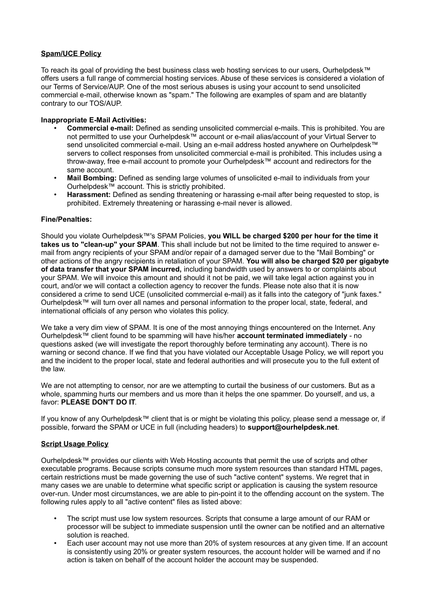# **Spam/UCE Policy**

To reach its goal of providing the best business class web hosting services to our users, Ourhelpdesk™ offers users a full range of commercial hosting services. Abuse of these services is considered a violation of our Terms of Service/AUP. One of the most serious abuses is using your account to send unsolicited commercial e-mail, otherwise known as "spam." The following are examples of spam and are blatantly contrary to our TOS/AUP.

# **Inappropriate E-Mail Activities:**

- **Commercial e-mail:** Defined as sending unsolicited commercial e-mails. This is prohibited. You are not permitted to use your Ourhelpdesk™ account or e-mail alias/account of your Virtual Server to send unsolicited commercial e-mail. Using an e-mail address hosted anywhere on Ourhelpdesk™ servers to collect responses from unsolicited commercial e-mail is prohibited. This includes using a throw-away, free e-mail account to promote your Ourhelpdesk™ account and redirectors for the same account.
- **Mail Bombing:** Defined as sending large volumes of unsolicited e-mail to individuals from your Ourhelpdesk™ account. This is strictly prohibited.
- **Harassment:** Defined as sending threatening or harassing e-mail after being requested to stop, is prohibited. Extremely threatening or harassing e-mail never is allowed.

# **Fine/Penalties:**

Should you violate Ourhelpdesk™'s SPAM Policies, **you WILL be charged \$200 per hour for the time it takes us to "clean-up" your SPAM**. This shall include but not be limited to the time required to answer email from angry recipients of your SPAM and/or repair of a damaged server due to the "Mail Bombing" or other actions of the angry recipients in retaliation of your SPAM. **You will also be charged \$20 per gigabyte of data transfer that your SPAM incurred,** including bandwidth used by answers to or complaints about your SPAM. We will invoice this amount and should it not be paid, we will take legal action against you in court, and/or we will contact a collection agency to recover the funds. Please note also that it is now considered a crime to send UCE (unsolicited commercial e-mail) as it falls into the category of "junk faxes." Ourhelpdesk™ will turn over all names and personal information to the proper local, state, federal, and international officials of any person who violates this policy.

We take a very dim view of SPAM. It is one of the most annoying things encountered on the Internet. Any Ourhelpdesk™ client found to be spamming will have his/her **account terminated immediately** - no questions asked (we will investigate the report thoroughly before terminating any account). There is no warning or second chance. If we find that you have violated our Acceptable Usage Policy, we will report you and the incident to the proper local, state and federal authorities and will prosecute you to the full extent of the law.

We are not attempting to censor, nor are we attempting to curtail the business of our customers. But as a whole, spamming hurts our members and us more than it helps the one spammer. Do yourself, and us, a favor: **PLEASE DON'T DO IT**.

If you know of any Ourhelpdesk™ client that is or might be violating this policy, please send a message or, if possible, forward the SPAM or UCE in full (including headers) to **support@ourhelpdesk.net**.

# **Script Usage Policy**

Ourhelpdesk™ provides our clients with Web Hosting accounts that permit the use of scripts and other executable programs. Because scripts consume much more system resources than standard HTML pages, certain restrictions must be made governing the use of such "active content" systems. We regret that in many cases we are unable to determine what specific script or application is causing the system resource over-run. Under most circumstances, we are able to pin-point it to the offending account on the system. The following rules apply to all "active content" files as listed above:

- The script must use low system resources. Scripts that consume a large amount of our RAM or processor will be subject to immediate suspension until the owner can be notified and an alternative solution is reached.
- Each user account may not use more than 20% of system resources at any given time. If an account is consistently using 20% or greater system resources, the account holder will be warned and if no action is taken on behalf of the account holder the account may be suspended.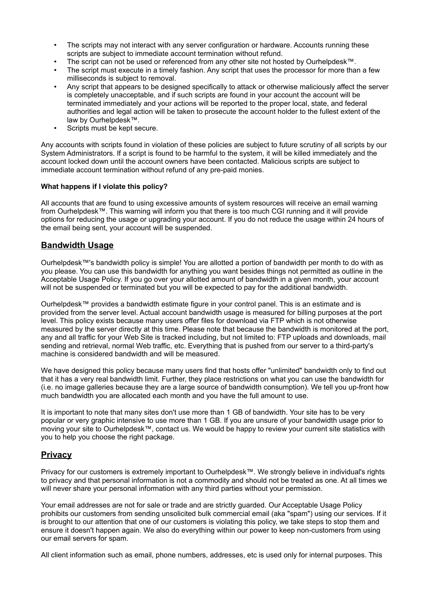- The scripts may not interact with any server configuration or hardware. Accounts running these scripts are subject to immediate account termination without refund.
- The script can not be used or referenced from any other site not hosted by Ourhelpdesk™.
- The script must execute in a timely fashion. Any script that uses the processor for more than a few milliseconds is subject to removal.
- Any script that appears to be designed specifically to attack or otherwise maliciously affect the server is completely unacceptable, and if such scripts are found in your account the account will be terminated immediately and your actions will be reported to the proper local, state, and federal authorities and legal action will be taken to prosecute the account holder to the fullest extent of the law by Ourhelpdesk™.
- Scripts must be kept secure.

Any accounts with scripts found in violation of these policies are subject to future scrutiny of all scripts by our System Administrators. If a script is found to be harmful to the system, it will be killed immediately and the account locked down until the account owners have been contacted. Malicious scripts are subject to immediate account termination without refund of any pre-paid monies.

# **What happens if I violate this policy?**

All accounts that are found to using excessive amounts of system resources will receive an email warning from Ourhelpdesk™. This warning will inform you that there is too much CGI running and it will provide options for reducing the usage or upgrading your account. If you do not reduce the usage within 24 hours of the email being sent, your account will be suspended.

# **Bandwidth Usage**

Ourhelpdesk™'s bandwidth policy is simple! You are allotted a portion of bandwidth per month to do with as you please. You can use this bandwidth for anything you want besides things not permitted as outline in the Acceptable Usage Policy. If you go over your allotted amount of bandwidth in a given month, your account will not be suspended or terminated but you will be expected to pay for the additional bandwidth.

Ourhelpdesk™ provides a bandwidth estimate figure in your control panel. This is an estimate and is provided from the server level. Actual account bandwidth usage is measured for billing purposes at the port level. This policy exists because many users offer files for download via FTP which is not otherwise measured by the server directly at this time. Please note that because the bandwidth is monitored at the port, any and all traffic for your Web Site is tracked including, but not limited to: FTP uploads and downloads, mail sending and retrieval, normal Web traffic, etc. Everything that is pushed from our server to a third-party's machine is considered bandwidth and will be measured.

We have designed this policy because many users find that hosts offer "unlimited" bandwidth only to find out that it has a very real bandwidth limit. Further, they place restrictions on what you can use the bandwidth for (i.e. no image galleries because they are a large source of bandwidth consumption). We tell you up-front how much bandwidth you are allocated each month and you have the full amount to use.

It is important to note that many sites don't use more than 1 GB of bandwidth. Your site has to be very popular or very graphic intensive to use more than 1 GB. If you are unsure of your bandwidth usage prior to moving your site to Ourhelpdesk™, contact us. We would be happy to review your current site statistics with you to help you choose the right package.

# **Privacy**

Privacy for our customers is extremely important to Ourhelpdesk™. We strongly believe in individual's rights to privacy and that personal information is not a commodity and should not be treated as one. At all times we will never share your personal information with any third parties without your permission.

Your email addresses are not for sale or trade and are strictly guarded. Our Acceptable Usage Policy prohibits our customers from sending unsolicited bulk commercial email (aka "spam") using our services. If it is brought to our attention that one of our customers is violating this policy, we take steps to stop them and ensure it doesn't happen again. We also do everything within our power to keep non-customers from using our email servers for spam.

All client information such as email, phone numbers, addresses, etc is used only for internal purposes. This